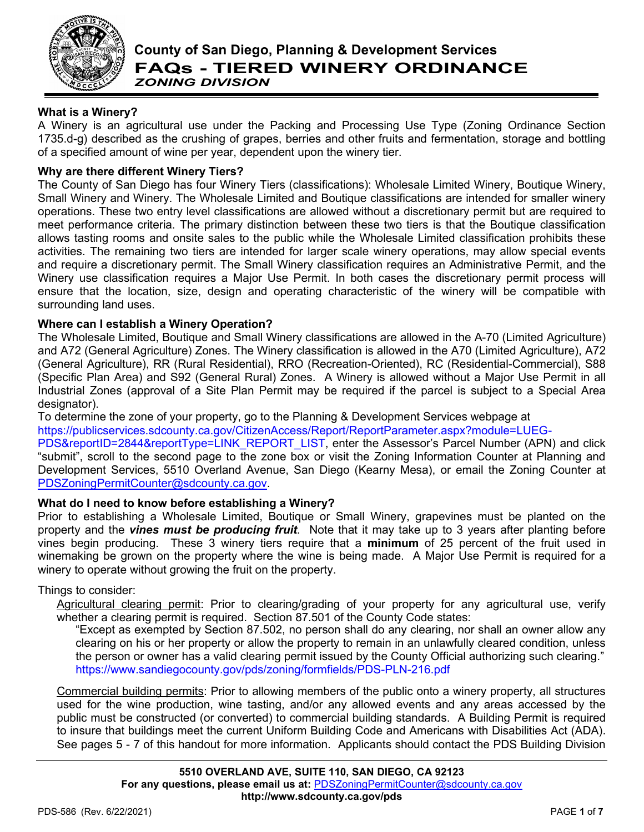

# **County of San Diego, Planning & Development Services FAQs - TIERED WINERY ORDINANCE** *ZONING DIVISION*

# **What is a Winery?**

A Winery is an agricultural use under the Packing and Processing Use Type (Zoning Ordinance Section 1735.d-g) described as the crushing of grapes, berries and other fruits and fermentation, storage and bottling of a specified amount of wine per year, dependent upon the winery tier.

# **Why are there different Winery Tiers?**

The County of San Diego has four Winery Tiers (classifications): Wholesale Limited Winery, Boutique Winery, Small Winery and Winery. The Wholesale Limited and Boutique classifications are intended for smaller winery operations. These two entry level classifications are allowed without a discretionary permit but are required to meet performance criteria. The primary distinction between these two tiers is that the Boutique classification allows tasting rooms and onsite sales to the public while the Wholesale Limited classification prohibits these activities. The remaining two tiers are intended for larger scale winery operations, may allow special events and require a discretionary permit. The Small Winery classification requires an Administrative Permit, and the Winery use classification requires a Major Use Permit. In both cases the discretionary permit process will ensure that the location, size, design and operating characteristic of the winery will be compatible with surrounding land uses.

#### **Where can I establish a Winery Operation?**

The Wholesale Limited, Boutique and Small Winery classifications are allowed in the A-70 (Limited Agriculture) and A72 (General Agriculture) Zones. The Winery classification is allowed in the A70 (Limited Agriculture), A72 (General Agriculture), RR (Rural Residential), RRO (Recreation-Oriented), RC (Residential-Commercial), S88 (Specific Plan Area) and S92 (General Rural) Zones. A Winery is allowed without a Major Use Permit in all Industrial Zones (approval of a Site Plan Permit may be required if the parcel is subject to a Special Area designator).

To determine the zone of your property, go to the Planning & Development Services webpage at

[https://publicservices.sdcounty.ca.gov/CitizenAccess/Report/ReportParameter.aspx?module=LUEG-](https://publicservices.sdcounty.ca.gov/CitizenAccess/Report/ReportParameter.aspx?module=LUEG-PDS&reportID=2844&reportType=LINK_REPORT_LIST)

[PDS&reportID=2844&reportType=LINK\\_REPORT\\_LIST,](https://publicservices.sdcounty.ca.gov/CitizenAccess/Report/ReportParameter.aspx?module=LUEG-PDS&reportID=2844&reportType=LINK_REPORT_LIST) enter the Assessor's Parcel Number (APN) and click "submit", scroll to the second page to the zone box or visit the Zoning Information Counter at Planning and Development Services, 5510 Overland Avenue, San Diego (Kearny Mesa), or email the Zoning Counter at [PDSZoningPermitCounter@sdcounty.ca.gov.](mailto:PDSZoningPermitCounter@sdcounty.ca.gov)

# **What do I need to know before establishing a Winery?**

Prior to establishing a Wholesale Limited, Boutique or Small Winery, grapevines must be planted on the property and the *vines must be producing fruit*. Note that it may take up to 3 years after planting before vines begin producing. These 3 winery tiers require that a **minimum** of 25 percent of the fruit used in winemaking be grown on the property where the wine is being made. A Major Use Permit is required for a winery to operate without growing the fruit on the property.

# Things to consider:

Agricultural clearing permit: Prior to clearing/grading of your property for any agricultural use, verify whether a clearing permit is required. Section 87.501 of the County Code states:

"Except as exempted by Section 87.502, no person shall do any clearing, nor shall an owner allow any clearing on his or her property or allow the property to remain in an unlawfully cleared condition, unless the person or owner has a valid clearing permit issued by the County Official authorizing such clearing." <https://www.sandiegocounty.gov/pds/zoning/formfields/PDS-PLN-216.pdf>

Commercial building permits: Prior to allowing members of the public onto a winery property, all structures used for the wine production, wine tasting, and/or any allowed events and any areas accessed by the public must be constructed (or converted) to commercial building standards. A Building Permit is required to insure that buildings meet the current Uniform Building Code and Americans with Disabilities Act (ADA). See pages 5 - 7 of this handout for more information. Applicants should contact the PDS Building Division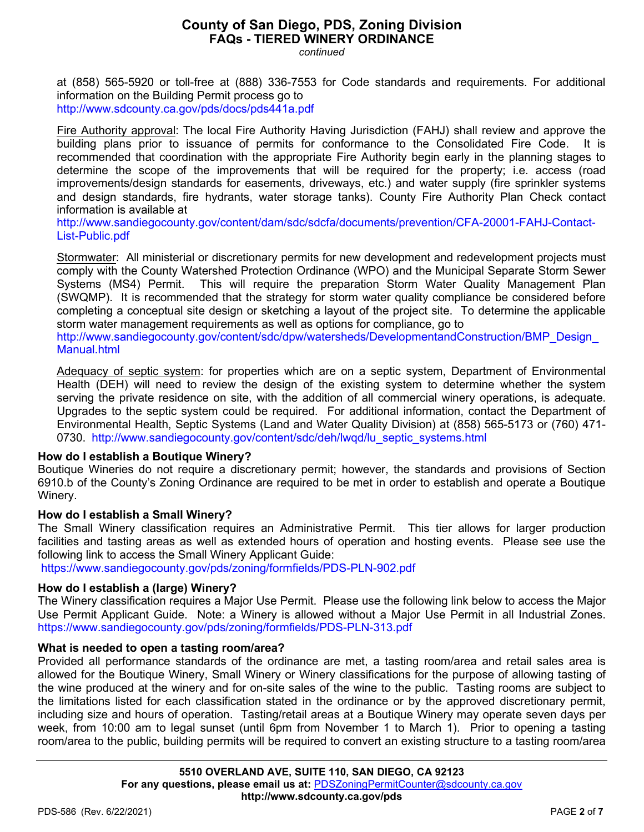*continued*

at (858) 565-5920 or toll-free at (888) 336-7553 for Code standards and requirements. For additional information on the Building Permit process go to <http://www.sdcounty.ca.gov/pds/docs/pds441a.pdf>

Fire Authority approval: The local Fire Authority Having Jurisdiction (FAHJ) shall review and approve the building plans prior to issuance of permits for conformance to the Consolidated Fire Code. It is recommended that coordination with the appropriate Fire Authority begin early in the planning stages to determine the scope of the improvements that will be required for the property; i.e. access (road improvements/design standards for easements, driveways, etc.) and water supply (fire sprinkler systems and design standards, fire hydrants, water storage tanks). County Fire Authority Plan Check contact information is available at

[http://www.sandiegocounty.gov/content/dam/sdc/sdcfa/documents/prevention/CFA-20001-FAHJ-Contact-](http://www.sandiegocounty.gov/content/dam/sdc/sdcfa/documents/prevention/CFA-20001-FAHJ-Contact-List-Public.pdf)[List-Public.pdf](http://www.sandiegocounty.gov/content/dam/sdc/sdcfa/documents/prevention/CFA-20001-FAHJ-Contact-List-Public.pdf)

Stormwater: All ministerial or discretionary permits for new development and redevelopment projects must comply with the County Watershed Protection Ordinance (WPO) and the Municipal Separate Storm Sewer Systems (MS4) Permit. This will require the preparation Storm Water Quality Management Plan (SWQMP). It is recommended that the strategy for storm water quality compliance be considered before completing a conceptual site design or sketching a layout of the project site. To determine the applicable storm water management requirements as well as options for compliance, go to

[http://www.sandiegocounty.gov/content/sdc/dpw/watersheds/DevelopmentandConstruction/BMP\\_Design\\_](http://www.sandiegocounty.gov/content/sdc/dpw/watersheds/DevelopmentandConstruction/BMP_Design_Manual.html) [Manual.html](http://www.sandiegocounty.gov/content/sdc/dpw/watersheds/DevelopmentandConstruction/BMP_Design_Manual.html)

Adequacy of septic system: for properties which are on a septic system, Department of Environmental Health (DEH) will need to review the design of the existing system to determine whether the system serving the private residence on site, with the addition of all commercial winery operations, is adequate. Upgrades to the septic system could be required. For additional information, contact the Department of Environmental Health, Septic Systems (Land and Water Quality Division) at (858) 565-5173 or (760) 471 0730. [http://www.sandiegocounty.gov/content/sdc/deh/lwqd/lu\\_septic\\_systems.html](http://www.sandiegocounty.gov/content/sdc/deh/lwqd/lu_septic_systems.html)

# **How do I establish a Boutique Winery?**

Boutique Wineries do not require a discretionary permit; however, the standards and provisions of Section 6910.b of the County's Zoning Ordinance are required to be met in order to establish and operate a Boutique Winery.

# **How do I establish a Small Winery?**

The Small Winery classification requires an Administrative Permit. This tier allows for larger production facilities and tasting areas as well as extended hours of operation and hosting events. Please see use the following link to access the Small Winery Applicant Guide:

<https://www.sandiegocounty.gov/pds/zoning/formfields/PDS-PLN-902.pdf>

# **How do I establish a (large) Winery?**

The Winery classification requires a Major Use Permit. Please use the following link below to access the Major Use Permit Applicant Guide. Note: a Winery is allowed without a Major Use Permit in all Industrial Zones. <https://www.sandiegocounty.gov/pds/zoning/formfields/PDS-PLN-313.pdf>

# **What is needed to open a tasting room/area?**

Provided all performance standards of the ordinance are met, a tasting room/area and retail sales area is allowed for the Boutique Winery, Small Winery or Winery classifications for the purpose of allowing tasting of the wine produced at the winery and for on-site sales of the wine to the public. Tasting rooms are subject to the limitations listed for each classification stated in the ordinance or by the approved discretionary permit, including size and hours of operation. Tasting/retail areas at a Boutique Winery may operate seven days per week, from 10:00 am to legal sunset (until 6pm from November 1 to March 1). Prior to opening a tasting room/area to the public, building permits will be required to convert an existing structure to a tasting room/area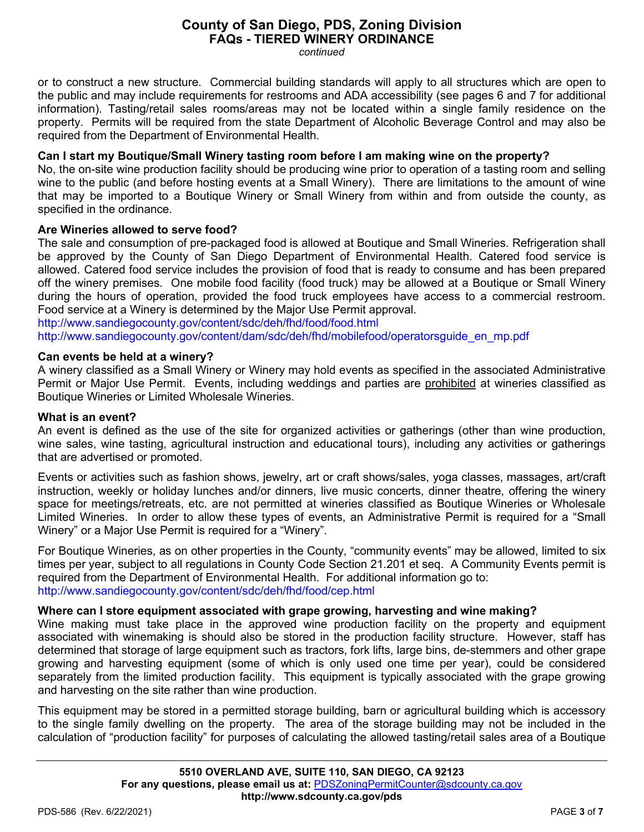*continued*

or to construct a new structure. Commercial building standards will apply to all structures which are open to the public and may include requirements for restrooms and ADA accessibility (see pages 6 and 7 for additional information). Tasting/retail sales rooms/areas may not be located within a single family residence on the property. Permits will be required from the state Department of Alcoholic Beverage Control and may also be required from the Department of Environmental Health.

# **Can I start my Boutique/Small Winery tasting room before I am making wine on the property?**

No, the on-site wine production facility should be producing wine prior to operation of a tasting room and selling wine to the public (and before hosting events at a Small Winery). There are limitations to the amount of wine that may be imported to a Boutique Winery or Small Winery from within and from outside the county, as specified in the ordinance.

# **Are Wineries allowed to serve food?**

The sale and consumption of pre-packaged food is allowed at Boutique and Small Wineries. Refrigeration shall be approved by the County of San Diego Department of Environmental Health. Catered food service is allowed. Catered food service includes the provision of food that is ready to consume and has been prepared off the winery premises. One mobile food facility (food truck) may be allowed at a Boutique or Small Winery during the hours of operation, provided the food truck employees have access to a commercial restroom. Food service at a Winery is determined by the Major Use Permit approval.

<http://www.sandiegocounty.gov/content/sdc/deh/fhd/food/food.html>

[http://www.sandiegocounty.gov/content/dam/sdc/deh/fhd/mobilefood/operatorsguide\\_en\\_mp.pdf](http://www.sandiegocounty.gov/content/dam/sdc/deh/fhd/mobilefood/operatorsguide_en_mp.pdf)

# **Can events be held at a winery?**

A winery classified as a Small Winery or Winery may hold events as specified in the associated Administrative Permit or Major Use Permit. Events, including weddings and parties are prohibited at wineries classified as Boutique Wineries or Limited Wholesale Wineries.

# **What is an event?**

An event is defined as the use of the site for organized activities or gatherings (other than wine production, wine sales, wine tasting, agricultural instruction and educational tours), including any activities or gatherings that are advertised or promoted.

Events or activities such as fashion shows, jewelry, art or craft shows/sales, yoga classes, massages, art/craft instruction, weekly or holiday lunches and/or dinners, live music concerts, dinner theatre, offering the winery space for meetings/retreats, etc. are not permitted at wineries classified as Boutique Wineries or Wholesale Limited Wineries. In order to allow these types of events, an Administrative Permit is required for a "Small Winery" or a Major Use Permit is required for a "Winery".

For Boutique Wineries, as on other properties in the County, "community events" may be allowed, limited to six times per year, subject to all regulations in County Code Section 21.201 et seq. A Community Events permit is required from the Department of Environmental Health. For additional information go to: <http://www.sandiegocounty.gov/content/sdc/deh/fhd/food/cep.html>

# **Where can I store equipment associated with grape growing, harvesting and wine making?**

Wine making must take place in the approved wine production facility on the property and equipment associated with winemaking is should also be stored in the production facility structure. However, staff has determined that storage of large equipment such as tractors, fork lifts, large bins, de-stemmers and other grape growing and harvesting equipment (some of which is only used one time per year), could be considered separately from the limited production facility. This equipment is typically associated with the grape growing and harvesting on the site rather than wine production.

This equipment may be stored in a permitted storage building, barn or agricultural building which is accessory to the single family dwelling on the property. The area of the storage building may not be included in the calculation of "production facility" for purposes of calculating the allowed tasting/retail sales area of a Boutique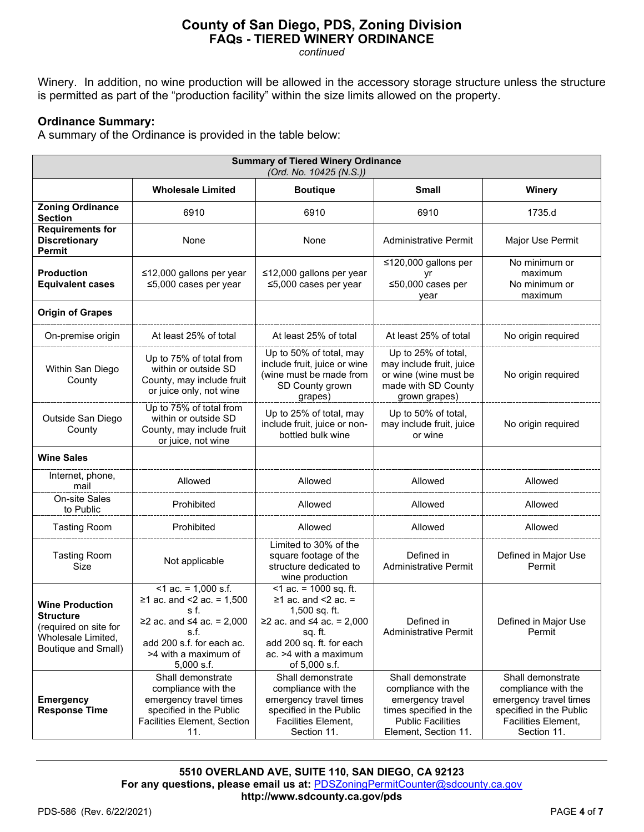*continued*

Winery. In addition, no wine production will be allowed in the accessory storage structure unless the structure is permitted as part of the "production facility" within the size limits allowed on the property.

# **Ordinance Summary:**

A summary of the Ordinance is provided in the table below:

| <b>Summary of Tiered Winery Ordinance</b><br>(Ord. No. 10425 (N.S.))                                             |                                                                                                                                                                       |                                                                                                                                                                                      |                                                                                                                                            |                                                                                                                                     |  |  |  |
|------------------------------------------------------------------------------------------------------------------|-----------------------------------------------------------------------------------------------------------------------------------------------------------------------|--------------------------------------------------------------------------------------------------------------------------------------------------------------------------------------|--------------------------------------------------------------------------------------------------------------------------------------------|-------------------------------------------------------------------------------------------------------------------------------------|--|--|--|
|                                                                                                                  | <b>Wholesale Limited</b>                                                                                                                                              | <b>Boutique</b>                                                                                                                                                                      | Small                                                                                                                                      | Winery                                                                                                                              |  |  |  |
| <b>Zoning Ordinance</b><br><b>Section</b>                                                                        | 6910                                                                                                                                                                  | 6910                                                                                                                                                                                 | 6910                                                                                                                                       | 1735.d                                                                                                                              |  |  |  |
| <b>Requirements for</b><br><b>Discretionary</b><br>Permit                                                        | None                                                                                                                                                                  | None                                                                                                                                                                                 | Administrative Permit                                                                                                                      | Major Use Permit                                                                                                                    |  |  |  |
| <b>Production</b><br><b>Equivalent cases</b>                                                                     | ≤12,000 gallons per year<br>$\leq$ 5,000 cases per year                                                                                                               | ≤12,000 gallons per year<br>$\leq$ 5,000 cases per year                                                                                                                              | ≤120,000 gallons per<br>≤50,000 cases per<br>year                                                                                          | No minimum or<br>maximum<br>No minimum or<br>maximum                                                                                |  |  |  |
| <b>Origin of Grapes</b>                                                                                          |                                                                                                                                                                       |                                                                                                                                                                                      |                                                                                                                                            |                                                                                                                                     |  |  |  |
| On-premise origin                                                                                                | At least 25% of total                                                                                                                                                 | At least 25% of total                                                                                                                                                                | At least 25% of total                                                                                                                      | No origin required                                                                                                                  |  |  |  |
| Within San Diego<br>County                                                                                       | Up to 75% of total from<br>within or outside SD<br>County, may include fruit<br>or juice only, not wine                                                               | Up to 50% of total, may<br>include fruit, juice or wine<br>(wine must be made from<br>SD County grown<br>grapes)                                                                     | Up to 25% of total,<br>may include fruit, juice<br>or wine (wine must be<br>made with SD County<br>grown grapes)                           | No origin required                                                                                                                  |  |  |  |
| Outside San Diego<br>County                                                                                      | Up to 75% of total from<br>within or outside SD<br>County, may include fruit<br>or juice, not wine                                                                    | Up to 25% of total, may<br>include fruit, juice or non-<br>bottled bulk wine                                                                                                         | Up to 50% of total,<br>may include fruit, juice<br>or wine                                                                                 | No origin required                                                                                                                  |  |  |  |
| <b>Wine Sales</b>                                                                                                |                                                                                                                                                                       |                                                                                                                                                                                      |                                                                                                                                            |                                                                                                                                     |  |  |  |
| Internet, phone,<br>mail                                                                                         | Allowed                                                                                                                                                               | Allowed                                                                                                                                                                              | Allowed                                                                                                                                    | Allowed                                                                                                                             |  |  |  |
| On-site Sales<br>to Public                                                                                       | Prohibited                                                                                                                                                            | Allowed                                                                                                                                                                              | Allowed                                                                                                                                    | Allowed                                                                                                                             |  |  |  |
| <b>Tasting Room</b>                                                                                              | Prohibited                                                                                                                                                            | Allowed                                                                                                                                                                              | Allowed                                                                                                                                    | Allowed                                                                                                                             |  |  |  |
| <b>Tasting Room</b><br>Size                                                                                      | Not applicable                                                                                                                                                        | Limited to 30% of the<br>square footage of the<br>structure dedicated to<br>wine production                                                                                          | Defined in<br><b>Administrative Permit</b>                                                                                                 | Defined in Major Use<br>Permit                                                                                                      |  |  |  |
| <b>Wine Production</b><br><b>Structure</b><br>(required on site for<br>Wholesale Limited,<br>Boutique and Small) | $<$ 1 ac. = 1,000 s.f.<br>≥1 ac. and <2 ac. = $1,500$<br>s f.<br>≥2 ac. and ≤4 ac. = 2,000<br>s.f.<br>add 200 s.f. for each ac.<br>>4 with a maximum of<br>5,000 s.f. | $<$ 1 ac. = 1000 sq. ft.<br>$\geq$ 1 ac. and <2 ac. =<br>1,500 sq. ft.<br>≥2 ac. and ≤4 ac. = 2,000<br>sq. ft.<br>add 200 sq. ft. for each<br>ac. >4 with a maximum<br>of 5,000 s.f. | Defined in<br><b>Administrative Permit</b>                                                                                                 | Defined in Major Use<br>Permit                                                                                                      |  |  |  |
| <b>Emergency</b><br><b>Response Time</b>                                                                         | Shall demonstrate<br>compliance with the<br>emergency travel times<br>specified in the Public<br>Facilities Element, Section<br>11.                                   | Shall demonstrate<br>compliance with the<br>emergency travel times<br>specified in the Public<br>Facilities Element,<br>Section 11.                                                  | Shall demonstrate<br>compliance with the<br>emergency travel<br>times specified in the<br><b>Public Facilities</b><br>Element, Section 11. | Shall demonstrate<br>compliance with the<br>emergency travel times<br>specified in the Public<br>Facilities Element,<br>Section 11. |  |  |  |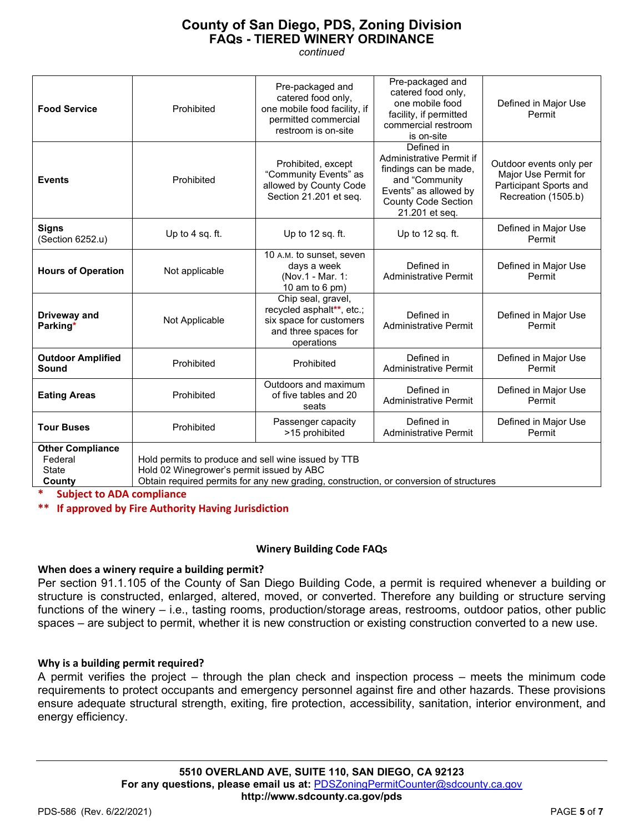*continued*

| <b>Food Service</b>                                          | Prohibited                                                                                                                                                                                                                     | Pre-packaged and<br>catered food only,<br>one mobile food facility, if<br>permitted commercial<br>restroom is on-site | Pre-packaged and<br>catered food only,<br>one mobile food<br>facility, if permitted<br>commercial restroom<br>is on-site                                   | Defined in Major Use<br>Permit                                                                   |  |  |
|--------------------------------------------------------------|--------------------------------------------------------------------------------------------------------------------------------------------------------------------------------------------------------------------------------|-----------------------------------------------------------------------------------------------------------------------|------------------------------------------------------------------------------------------------------------------------------------------------------------|--------------------------------------------------------------------------------------------------|--|--|
| <b>Events</b>                                                | Prohibited                                                                                                                                                                                                                     | Prohibited, except<br>"Community Events" as<br>allowed by County Code<br>Section 21.201 et seq.                       | Defined in<br>Administrative Permit if<br>findings can be made,<br>and "Community<br>Events" as allowed by<br><b>County Code Section</b><br>21.201 et seq. | Outdoor events only per<br>Major Use Permit for<br>Participant Sports and<br>Recreation (1505.b) |  |  |
| <b>Signs</b><br>(Section 6252.u)                             | Up to 4 sq. ft.                                                                                                                                                                                                                | Up to 12 sq. ft.                                                                                                      | Up to 12 sq. ft.                                                                                                                                           | Defined in Major Use<br>Permit                                                                   |  |  |
| <b>Hours of Operation</b>                                    | Not applicable                                                                                                                                                                                                                 | 10 A.M. to sunset, seven<br>days a week<br>(Nov.1 - Mar. 1:<br>10 am to 6 pm)                                         | Defined in<br><b>Administrative Permit</b>                                                                                                                 | Defined in Major Use<br>Permit                                                                   |  |  |
| Driveway and<br>Parking*                                     | Not Applicable                                                                                                                                                                                                                 | Chip seal, gravel,<br>recycled asphalt**, etc.;<br>six space for customers<br>and three spaces for<br>operations      | Defined in<br><b>Administrative Permit</b>                                                                                                                 | Defined in Major Use<br>Permit                                                                   |  |  |
| <b>Outdoor Amplified</b><br>Sound                            | Prohibited                                                                                                                                                                                                                     | Prohibited                                                                                                            | Defined in<br><b>Administrative Permit</b>                                                                                                                 | Defined in Major Use<br>Permit                                                                   |  |  |
| <b>Eating Areas</b>                                          | Prohibited                                                                                                                                                                                                                     | Outdoors and maximum<br>of five tables and 20<br>seats                                                                | Defined in<br><b>Administrative Permit</b>                                                                                                                 | Defined in Major Use<br>Permit                                                                   |  |  |
| <b>Tour Buses</b>                                            | Prohibited                                                                                                                                                                                                                     | Passenger capacity<br>>15 prohibited                                                                                  | Defined in<br><b>Administrative Permit</b>                                                                                                                 | Defined in Major Use<br>Permit                                                                   |  |  |
| <b>Other Compliance</b><br>Federal<br><b>State</b><br>County | Hold permits to produce and sell wine issued by TTB<br>Hold 02 Winegrower's permit issued by ABC<br>Obtain required permits for any new grading, construction, or conversion of structures<br><b>Subject to ADA compliance</b> |                                                                                                                       |                                                                                                                                                            |                                                                                                  |  |  |

**\*\* If approved by Fire Authority Having Jurisdiction**

# **Winery Building Code FAQs**

# **When does a winery require a building permit?**

Per section 91.1.105 of the County of San Diego Building Code, a permit is required whenever a building or structure is constructed, enlarged, altered, moved, or converted. Therefore any building or structure serving functions of the winery – i.e., tasting rooms, production/storage areas, restrooms, outdoor patios, other public spaces – are subject to permit, whether it is new construction or existing construction converted to a new use.

#### **Why is a building permit required?**

A permit verifies the project – through the plan check and inspection process – meets the minimum code requirements to protect occupants and emergency personnel against fire and other hazards. These provisions ensure adequate structural strength, exiting, fire protection, accessibility, sanitation, interior environment, and energy efficiency.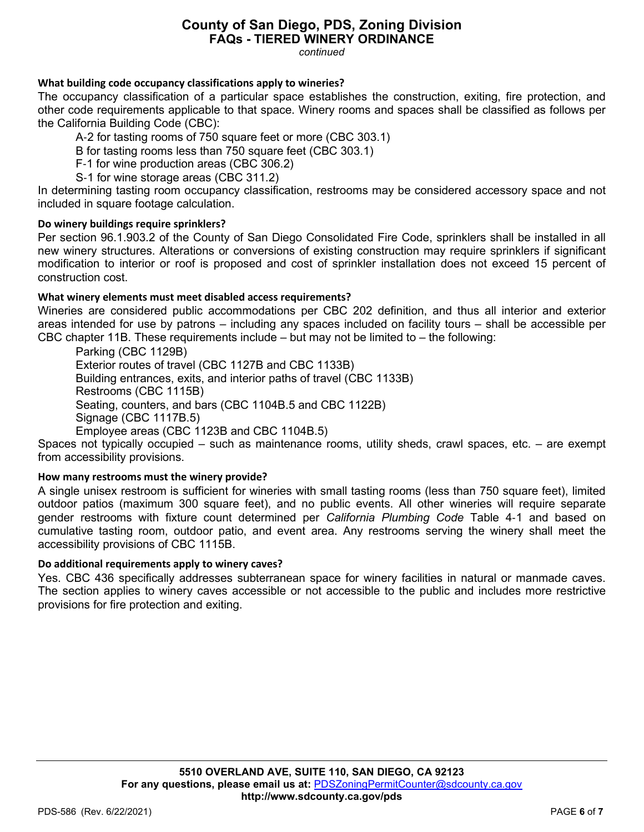*continued*

# **What building code occupancy classifications apply to wineries?**

The occupancy classification of a particular space establishes the construction, exiting, fire protection, and other code requirements applicable to that space. Winery rooms and spaces shall be classified as follows per the California Building Code (CBC):

A‐2 for tasting rooms of 750 square feet or more (CBC 303.1)

B for tasting rooms less than 750 square feet (CBC 303.1)

F‐1 for wine production areas (CBC 306.2)

S‐1 for wine storage areas (CBC 311.2)

In determining tasting room occupancy classification, restrooms may be considered accessory space and not included in square footage calculation.

# **Do winery buildings require sprinklers?**

Per section 96.1.903.2 of the County of San Diego Consolidated Fire Code, sprinklers shall be installed in all new winery structures. Alterations or conversions of existing construction may require sprinklers if significant modification to interior or roof is proposed and cost of sprinkler installation does not exceed 15 percent of construction cost.

# **What winery elements must meet disabled access requirements?**

Wineries are considered public accommodations per CBC 202 definition, and thus all interior and exterior areas intended for use by patrons – including any spaces included on facility tours – shall be accessible per CBC chapter 11B. These requirements include – but may not be limited to – the following:

Parking (CBC 1129B) Exterior routes of travel (CBC 1127B and CBC 1133B) Building entrances, exits, and interior paths of travel (CBC 1133B) Restrooms (CBC 1115B) Seating, counters, and bars (CBC 1104B.5 and CBC 1122B) Signage (CBC 1117B.5) Employee areas (CBC 1123B and CBC 1104B.5)

Spaces not typically occupied – such as maintenance rooms, utility sheds, crawl spaces, etc. – are exempt from accessibility provisions.

# **How many restrooms must the winery provide?**

A single unisex restroom is sufficient for wineries with small tasting rooms (less than 750 square feet), limited outdoor patios (maximum 300 square feet), and no public events. All other wineries will require separate gender restrooms with fixture count determined per *California Plumbing Code* Table 4‐1 and based on cumulative tasting room, outdoor patio, and event area. Any restrooms serving the winery shall meet the accessibility provisions of CBC 1115B.

# **Do additional requirements apply to winery caves?**

Yes. CBC 436 specifically addresses subterranean space for winery facilities in natural or manmade caves. The section applies to winery caves accessible or not accessible to the public and includes more restrictive provisions for fire protection and exiting.